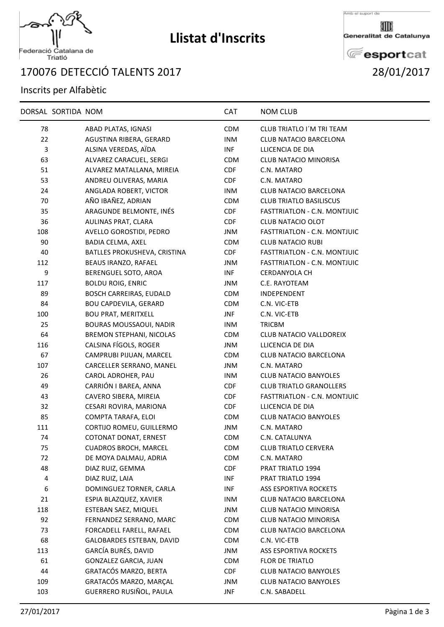

## **Llistat d'Inscrits**

Amb el suport de

Generalitat de Catalunya

**E**esportcat DETECCIÓ TALENTS 2017 28/01/2017

## Inscrits per Alfabètic

|              | DORSAL SORTIDA NOM |                                 | CAT        | <b>NOM CLUB</b>                     |  |
|--------------|--------------------|---------------------------------|------------|-------------------------------------|--|
| 78           |                    | ABAD PLATAS, IGNASI             | <b>CDM</b> | CLUB TRIATLO I'M TRI TEAM           |  |
| 22           |                    | AGUSTINA RIBERA, GERARD         | <b>INM</b> | CLUB NATACIO BARCELONA              |  |
| $\mathbf{3}$ |                    | ALSINA VEREDAS, AÏDA            | INF        | LLICENCIA DE DIA                    |  |
| 63           |                    | ALVAREZ CARACUEL, SERGI         | <b>CDM</b> | <b>CLUB NATACIO MINORISA</b>        |  |
| 51           |                    | ALVAREZ MATALLANA, MIREIA       | <b>CDF</b> | C.N. MATARO                         |  |
| 53           |                    | ANDREU OLIVERAS, MARIA          | <b>CDF</b> | C.N. MATARO                         |  |
| 24           |                    | ANGLADA ROBERT, VICTOR          | <b>INM</b> | <b>CLUB NATACIO BARCELONA</b>       |  |
| 70           |                    | AÑO IBAÑEZ, ADRIAN              | <b>CDM</b> | <b>CLUB TRIATLO BASILISCUS</b>      |  |
| 35           |                    | ARAGUNDE BELMONTE, INÉS         | CDF        | <b>FASTTRIATLON - C.N. MONTJUIC</b> |  |
| 36           |                    | AULINAS PRAT, CLARA             | <b>CDF</b> | <b>CLUB NATACIO OLOT</b>            |  |
| 108          |                    | AVELLO GOROSTIDI, PEDRO         | <b>JNM</b> | <b>FASTTRIATLON - C.N. MONTJUIC</b> |  |
| 90           |                    | BADIA CELMA, AXEL               | <b>CDM</b> | <b>CLUB NATACIO RUBI</b>            |  |
| 40           |                    | BATLLES PROKUSHEVA, CRISTINA    | <b>CDF</b> | <b>FASTTRIATLON - C.N. MONTJUIC</b> |  |
| 112          |                    | BEAUS IRANZO, RAFAEL            | <b>JNM</b> | <b>FASTTRIATLON - C.N. MONTJUIC</b> |  |
| 9            |                    | BERENGUEL SOTO, AROA            | INF        | <b>CERDANYOLA CH</b>                |  |
| 117          |                    | <b>BOLDU ROIG, ENRIC</b>        | JNM        | C.E. RAYOTEAM                       |  |
| 89           |                    | <b>BOSCH CARREIRAS, EUDALD</b>  | <b>CDM</b> | INDEPENDENT                         |  |
| 84           |                    | <b>BOU CAPDEVILA, GERARD</b>    | <b>CDM</b> | C.N. VIC-ETB                        |  |
| 100          |                    | <b>BOU PRAT, MERITXELL</b>      | JNF        | C.N. VIC-ETB                        |  |
| 25           |                    | <b>BOURAS MOUSSAOUI, NADIR</b>  | <b>INM</b> | TRICBM                              |  |
| 64           |                    | <b>BREMON STEPHANI, NICOLAS</b> | <b>CDM</b> | <b>CLUB NATACIO VALLDOREIX</b>      |  |
| 116          |                    | CALSINA FÍGOLS, ROGER           | JNM        | LLICENCIA DE DIA                    |  |
| 67           |                    | CAMPRUBI PIJUAN, MARCEL         | <b>CDM</b> | <b>CLUB NATACIO BARCELONA</b>       |  |
| 107          |                    | CARCELLER SERRANO, MANEL        | <b>JNM</b> | C.N. MATARO                         |  |
| 26           |                    | CAROL ADROHER, PAU              | INM        | <b>CLUB NATACIO BANYOLES</b>        |  |
| 49           |                    | CARRIÓN I BAREA, ANNA           | <b>CDF</b> | <b>CLUB TRIATLO GRANOLLERS</b>      |  |
| 43           |                    | CAVERO SIBERA, MIREIA           | <b>CDF</b> | FASTTRIATLON - C.N. MONTJUIC        |  |
| 32           |                    | CESARI ROVIRA, MARIONA          | <b>CDF</b> | LLICENCIA DE DIA                    |  |
| 85           |                    | COMPTA TARAFA, ELOI             | <b>CDM</b> | <b>CLUB NATACIO BANYOLES</b>        |  |
| 111          |                    | CORTIJO ROMEU, GUILLERMO        | JNM        | C.N. MATARO                         |  |
| 74           |                    | COTONAT DONAT, ERNEST           | <b>CDM</b> | C.N. CATALUNYA                      |  |
| 75           |                    | <b>CUADROS BROCH, MARCEL</b>    | <b>CDM</b> | <b>CLUB TRIATLO CERVERA</b>         |  |
| 72           |                    | DE MOYA DALMAU, ADRIA           | CDM        | C.N. MATARO                         |  |
| 48           |                    | DIAZ RUIZ, GEMMA                | <b>CDF</b> | PRAT TRIATLO 1994                   |  |
| 4            |                    | DIAZ RUIZ, LAIA                 | INF        | PRAT TRIATLO 1994                   |  |
| 6            |                    | DOMINGUEZ TORNER, CARLA         | INF        | ASS ESPORTIVA ROCKETS               |  |
| 21           |                    | ESPIA BLAZQUEZ, XAVIER          | <b>INM</b> | CLUB NATACIO BARCELONA              |  |
| 118          |                    | ESTEBAN SAEZ, MIQUEL            | <b>JNM</b> | <b>CLUB NATACIO MINORISA</b>        |  |
| 92           |                    | FERNANDEZ SERRANO, MARC         | <b>CDM</b> | <b>CLUB NATACIO MINORISA</b>        |  |
| 73           |                    | FORCADELL FARELL, RAFAEL        | <b>CDM</b> | <b>CLUB NATACIO BARCELONA</b>       |  |
| 68           |                    | GALOBARDES ESTEBAN, DAVID       | <b>CDM</b> | C.N. VIC-ETB                        |  |
| 113          |                    | GARCÍA BURÉS, DAVID             | JNM        | ASS ESPORTIVA ROCKETS               |  |
| 61           |                    | GONZALEZ GARCIA, JUAN           | <b>CDM</b> | FLOR DE TRIATLO                     |  |
| 44           |                    | GRATACÓS MARZO, BERTA           | <b>CDF</b> | <b>CLUB NATACIO BANYOLES</b>        |  |
| 109          |                    | GRATACÓS MARZO, MARÇAL          | JNM        | <b>CLUB NATACIO BANYOLES</b>        |  |
| 103          |                    | GUERRERO RUSIÑOL, PAULA         | JNF        | C.N. SABADELL                       |  |
|              |                    |                                 |            |                                     |  |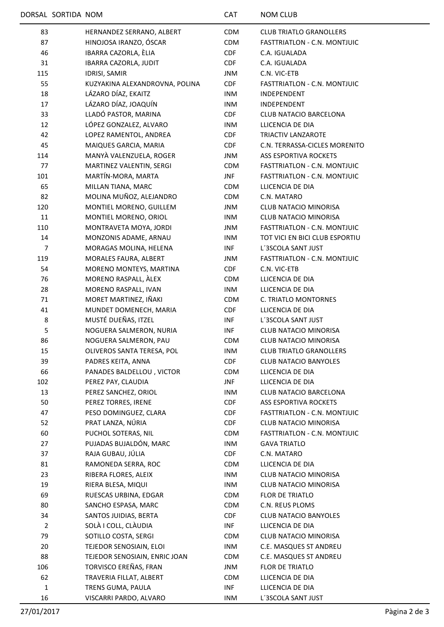| 83             | HERNANDEZ SERRANO, ALBERT      | <b>CDM</b> | <b>CLUB TRIATLO GRANOLLERS</b>      |
|----------------|--------------------------------|------------|-------------------------------------|
| 87             | HINOJOSA IRANZO, ÓSCAR         | CDM        | FASTTRIATLON - C.N. MONTJUIC        |
| 46             | IBARRA CAZORLA, ÈLIA           | <b>CDF</b> | C.A. IGUALADA                       |
| 31             | IBARRA CAZORLA, JUDIT          | <b>CDF</b> | C.A. IGUALADA                       |
|                |                                |            |                                     |
| 115            | <b>IDRISI, SAMIR</b>           | <b>JNM</b> | C.N. VIC-ETB                        |
| 55             | KUZYAKINA ALEXANDROVNA, POLINA | <b>CDF</b> | <b>FASTTRIATLON - C.N. MONTJUIC</b> |
| 18             | LÁZARO DÍAZ, EKAITZ            | <b>INM</b> | INDEPENDENT                         |
| 17             | LÁZARO DÍAZ, JOAQUÍN           | <b>INM</b> | INDEPENDENT                         |
| 33             | LLADÓ PASTOR, MARINA           | <b>CDF</b> | CLUB NATACIO BARCELONA              |
| 12             | LÓPEZ GONZALEZ, ALVARO         | <b>INM</b> | LLICENCIA DE DIA                    |
| 42             | LOPEZ RAMENTOL, ANDREA         | <b>CDF</b> | TRIACTIV LANZAROTE                  |
| 45             | MAIQUES GARCIA, MARIA          | CDF        | C.N. TERRASSA-CICLES MORENITO       |
| 114            | MANYÀ VALENZUELA, ROGER        | JNM        | <b>ASS ESPORTIVA ROCKETS</b>        |
| 77             | MARTINEZ VALENTIN, SERGI       | <b>CDM</b> | <b>FASTTRIATLON - C.N. MONTJUIC</b> |
| 101            | MARTÍN-MORA, MARTA             | <b>JNF</b> | FASTTRIATLON - C.N. MONTJUIC        |
| 65             | MILLAN TIANA, MARC             | <b>CDM</b> | LLICENCIA DE DIA                    |
| 82             | MOLINA MUÑOZ, ALEJANDRO        | <b>CDM</b> | C.N. MATARO                         |
| 120            | MONTIEL MORENO, GUILLEM        | JNM        | <b>CLUB NATACIO MINORISA</b>        |
| 11             | MONTIEL MORENO, ORIOL          | INM        | <b>CLUB NATACIO MINORISA</b>        |
| 110            | MONTRAVETA MOYA, JORDI         | JNM        | <b>FASTTRIATLON - C.N. MONTJUIC</b> |
| 14             | MONZONIS ADAME, ARNAU          | <b>INM</b> | TOT VICI EN BICI CLUB ESPORTIU      |
| $\overline{7}$ | MORAGAS MOLINA, HELENA         | <b>INF</b> | L'3SCOLA SANT JUST                  |
| 119            | MORALES FAURA, ALBERT          | JNM        | FASTTRIATLON - C.N. MONTJUIC        |
| 54             | MORENO MONTEYS, MARTINA        | <b>CDF</b> | C.N. VIC-ETB                        |
| 76             | MORENO RASPALL, ALEX           | <b>CDM</b> | LLICENCIA DE DIA                    |
| 28             | MORENO RASPALL, IVAN           | INM        | LLICENCIA DE DIA                    |
| 71             | MORET MARTINEZ, IÑAKI          | <b>CDM</b> | C. TRIATLO MONTORNES                |
| 41             | MUNDET DOMENECH, MARIA         | CDF        | LLICENCIA DE DIA                    |
|                | MUSTÉ DUEÑAS, ITZEL            |            |                                     |
| 8              |                                | INF        | L'3SCOLA SANT JUST                  |
| 5              | NOGUERA SALMERON, NURIA        | <b>INF</b> | <b>CLUB NATACIO MINORISA</b>        |
| 86             | NOGUERA SALMERON, PAU          | <b>CDM</b> | <b>CLUB NATACIO MINORISA</b>        |
| 15             | OLIVEROS SANTA TERESA, POL     | <b>INM</b> | <b>CLUB TRIATLO GRANOLLERS</b>      |
| 39             | PADRES KEITA, ANNA             | <b>CDF</b> | <b>CLUB NATACIO BANYOLES</b>        |
| 66             | PANADES BALDELLOU, VICTOR      | <b>CDM</b> | LLICENCIA DE DIA                    |
| 102            | PEREZ PAY, CLAUDIA             | JNF        | LLICENCIA DE DIA                    |
| 13             | PEREZ SANCHEZ, ORIOL           | <b>INM</b> | <b>CLUB NATACIO BARCELONA</b>       |
| 50             | PEREZ TORRES, IRENE            | <b>CDF</b> | ASS ESPORTIVA ROCKETS               |
| 47             | PESO DOMINGUEZ, CLARA          | <b>CDF</b> | FASTTRIATLON - C.N. MONTJUIC        |
| 52             | PRAT LANZA, NÚRIA              | <b>CDF</b> | <b>CLUB NATACIO MINORISA</b>        |
| 60             | PUCHOL SOTERAS, NIL            | <b>CDM</b> | <b>FASTTRIATLON - C.N. MONTJUIC</b> |
| 27             | PUJADAS BUJALDÓN, MARC         | INM        | <b>GAVA TRIATLO</b>                 |
| 37             | RAJA GUBAU, JÚLIA              | <b>CDF</b> | C.N. MATARO                         |
| 81             | RAMONEDA SERRA, ROC            | <b>CDM</b> | LLICENCIA DE DIA                    |
| 23             | RIBERA FLORES, ALEIX           | INM        | <b>CLUB NATACIO MINORISA</b>        |
| 19             | RIERA BLESA, MIQUI             | INM        | CLUB NATACIO MINORISA               |
| 69             | RUESCAS URBINA, EDGAR          | <b>CDM</b> | FLOR DE TRIATLO                     |
| 80             | SANCHO ESPASA, MARC            | <b>CDM</b> | C.N. REUS PLOMS                     |
| 34             | SANTOS JUIDIAS, BERTA          | <b>CDF</b> | <b>CLUB NATACIO BANYOLES</b>        |
| $\overline{2}$ | SOLÀ I COLL, CLÀUDIA           | INF        | LLICENCIA DE DIA                    |
| 79             | SOTILLO COSTA, SERGI           | <b>CDM</b> | CLUB NATACIO MINORISA               |
| 20             | TEJEDOR SENOSIAIN, ELOI        | INM        | C.E. MASQUES ST ANDREU              |
| 88             | TEJEDOR SENOSIAIN, ENRIC JOAN  | <b>CDM</b> | C.E. MASQUES ST ANDREU              |
| 106            | TORVISCO EREÑAS, FRAN          | JNM        | FLOR DE TRIATLO                     |
| 62             | TRAVERIA FILLAT, ALBERT        | <b>CDM</b> | LLICENCIA DE DIA                    |
| $\mathbf 1$    | TRENS GUMA, PAULA              | INF        | LLICENCIA DE DIA                    |
|                |                                |            |                                     |
| 16             | VISCARRI PARDO, ALVARO         | <b>INM</b> | L'3SCOLA SANT JUST                  |